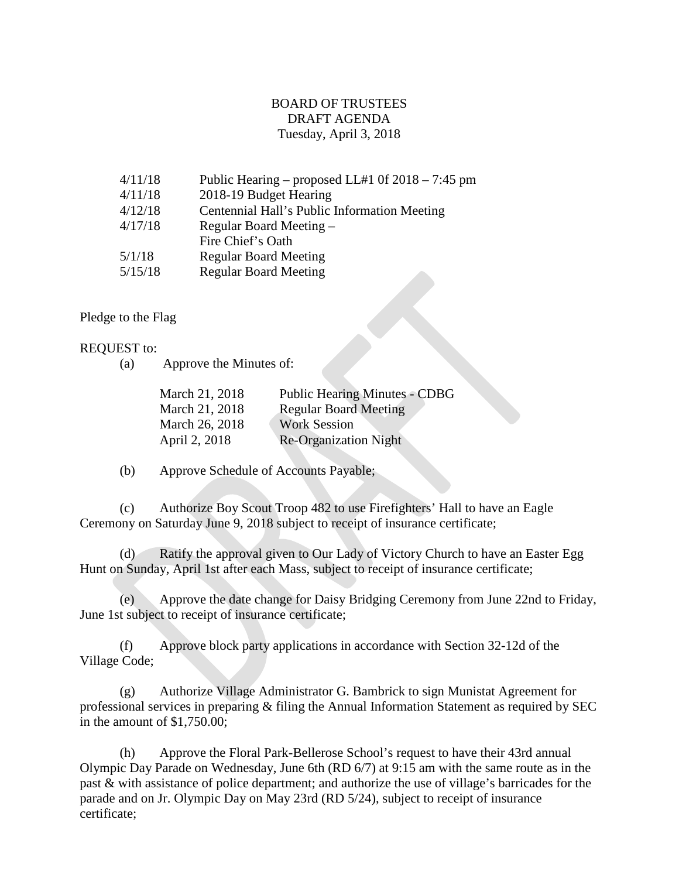## BOARD OF TRUSTEES DRAFT AGENDA Tuesday, April 3, 2018

| 4/11/18 | Public Hearing – proposed LL#1 0f $2018 - 7:45$ pm |
|---------|----------------------------------------------------|
| 4/11/18 | 2018-19 Budget Hearing                             |
| 4/12/18 | Centennial Hall's Public Information Meeting       |
| 4/17/18 | Regular Board Meeting –                            |
|         | Fire Chief's Oath                                  |
| 5/1/18  | <b>Regular Board Meeting</b>                       |
| 5/15/18 | <b>Regular Board Meeting</b>                       |
|         |                                                    |

## Pledge to the Flag

## REQUEST to:

(a) Approve the Minutes of:

| March 21, 2018 | <b>Public Hearing Minutes - CDBG</b> |
|----------------|--------------------------------------|
| March 21, 2018 | <b>Regular Board Meeting</b>         |
| March 26, 2018 | <b>Work Session</b>                  |
| April 2, 2018  | <b>Re-Organization Night</b>         |

(b) Approve Schedule of Accounts Payable;

(c) Authorize Boy Scout Troop 482 to use Firefighters' Hall to have an Eagle Ceremony on Saturday June 9, 2018 subject to receipt of insurance certificate;

(d) Ratify the approval given to Our Lady of Victory Church to have an Easter Egg Hunt on Sunday, April 1st after each Mass, subject to receipt of insurance certificate;

(e) Approve the date change for Daisy Bridging Ceremony from June 22nd to Friday, June 1st subject to receipt of insurance certificate;

(f) Approve block party applications in accordance with Section 32-12d of the Village Code;

(g) Authorize Village Administrator G. Bambrick to sign Munistat Agreement for professional services in preparing & filing the Annual Information Statement as required by SEC in the amount of \$1,750.00;

(h) Approve the Floral Park-Bellerose School's request to have their 43rd annual Olympic Day Parade on Wednesday, June 6th (RD 6/7) at 9:15 am with the same route as in the past & with assistance of police department; and authorize the use of village's barricades for the parade and on Jr. Olympic Day on May 23rd (RD 5/24), subject to receipt of insurance certificate;